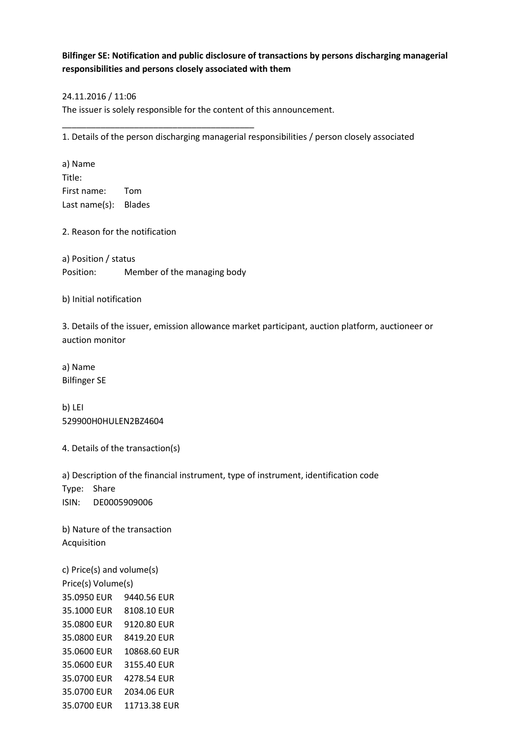## **Bilfinger SE: Notification and public disclosure of transactions by persons discharging managerial responsibilities and persons closely associated with them**

## 24.11.2016 / 11:06

The issuer is solely responsible for the content of this announcement.

1. Details of the person discharging managerial responsibilities / person closely associated

a) Name Title: First name: Tom Last name(s): Blades

2. Reason for the notification

a) Position / status Position: Member of the managing body

\_\_\_\_\_\_\_\_\_\_\_\_\_\_\_\_\_\_\_\_\_\_\_\_\_\_\_\_\_\_\_\_\_\_\_\_\_\_\_\_

b) Initial notification

3. Details of the issuer, emission allowance market participant, auction platform, auctioneer or auction monitor

a) Name Bilfinger SE

b) LEI 529900H0HULEN2BZ4604

4. Details of the transaction(s)

a) Description of the financial instrument, type of instrument, identification code Type: Share ISIN: DE0005909006

b) Nature of the transaction Acquisition

c) Price(s) and volume(s) Price(s) Volume(s) 35.0950 EUR 9440.56 EUR 35.1000 EUR 8108.10 EUR 35.0800 EUR 9120.80 EUR 35.0800 EUR 8419.20 EUR 35.0600 EUR 10868.60 EUR 35.0600 EUR 3155.40 EUR 35.0700 EUR 4278.54 EUR 35.0700 EUR 2034.06 EUR 35.0700 EUR 11713.38 EUR